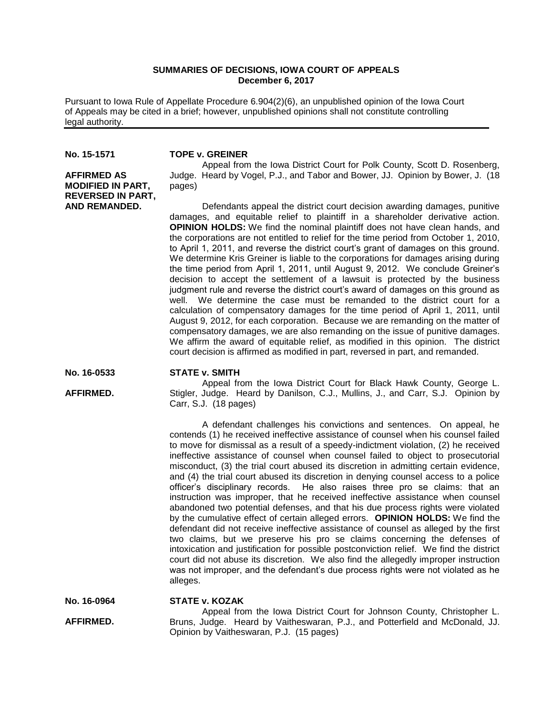## **SUMMARIES OF DECISIONS, IOWA COURT OF APPEALS December 6, 2017**

Pursuant to Iowa Rule of Appellate Procedure 6.904(2)(6), an unpublished opinion of the Iowa Court of Appeals may be cited in a brief; however, unpublished opinions shall not constitute controlling legal authority.

**No. 15-1571**

**AFFIRMED AS MODIFIED IN PART, REVERSED IN PART, AND REMANDED.**

### **TOPE v. GREINER**

Appeal from the Iowa District Court for Polk County, Scott D. Rosenberg, Judge. Heard by Vogel, P.J., and Tabor and Bower, JJ. Opinion by Bower, J. (18 pages)

Defendants appeal the district court decision awarding damages, punitive damages, and equitable relief to plaintiff in a shareholder derivative action. **OPINION HOLDS:** We find the nominal plaintiff does not have clean hands, and the corporations are not entitled to relief for the time period from October 1, 2010, to April 1, 2011, and reverse the district court's grant of damages on this ground. We determine Kris Greiner is liable to the corporations for damages arising during the time period from April 1, 2011, until August 9, 2012. We conclude Greiner's decision to accept the settlement of a lawsuit is protected by the business judgment rule and reverse the district court's award of damages on this ground as well. We determine the case must be remanded to the district court for a calculation of compensatory damages for the time period of April 1, 2011, until August 9, 2012, for each corporation. Because we are remanding on the matter of compensatory damages, we are also remanding on the issue of punitive damages. We affirm the award of equitable relief, as modified in this opinion. The district court decision is affirmed as modified in part, reversed in part, and remanded.

### **No. 16-0533 STATE v. SMITH**

**AFFIRMED.**

Appeal from the Iowa District Court for Black Hawk County, George L. Stigler, Judge. Heard by Danilson, C.J., Mullins, J., and Carr, S.J. Opinion by Carr, S.J. (18 pages)

A defendant challenges his convictions and sentences. On appeal, he contends (1) he received ineffective assistance of counsel when his counsel failed to move for dismissal as a result of a speedy-indictment violation, (2) he received ineffective assistance of counsel when counsel failed to object to prosecutorial misconduct, (3) the trial court abused its discretion in admitting certain evidence, and (4) the trial court abused its discretion in denying counsel access to a police officer's disciplinary records. He also raises three pro se claims: that an instruction was improper, that he received ineffective assistance when counsel abandoned two potential defenses, and that his due process rights were violated by the cumulative effect of certain alleged errors. **OPINION HOLDS:** We find the defendant did not receive ineffective assistance of counsel as alleged by the first two claims, but we preserve his pro se claims concerning the defenses of intoxication and justification for possible postconviction relief. We find the district court did not abuse its discretion. We also find the allegedly improper instruction was not improper, and the defendant's due process rights were not violated as he alleges.

**No. 16-0964 STATE v. KOZAK**

**AFFIRMED.**

Appeal from the Iowa District Court for Johnson County, Christopher L. Bruns, Judge. Heard by Vaitheswaran, P.J., and Potterfield and McDonald, JJ. Opinion by Vaitheswaran, P.J. (15 pages)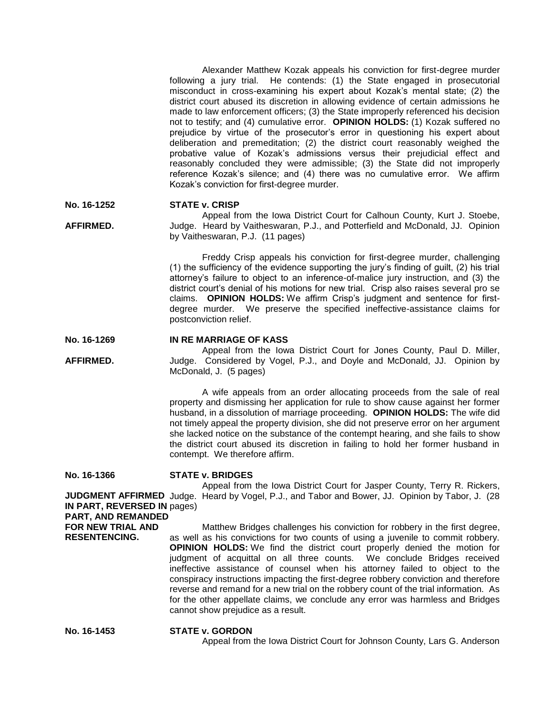Alexander Matthew Kozak appeals his conviction for first-degree murder following a jury trial. He contends: (1) the State engaged in prosecutorial misconduct in cross-examining his expert about Kozak's mental state; (2) the district court abused its discretion in allowing evidence of certain admissions he made to law enforcement officers; (3) the State improperly referenced his decision not to testify; and (4) cumulative error. **OPINION HOLDS:** (1) Kozak suffered no prejudice by virtue of the prosecutor's error in questioning his expert about deliberation and premeditation; (2) the district court reasonably weighed the probative value of Kozak's admissions versus their prejudicial effect and reasonably concluded they were admissible; (3) the State did not improperly reference Kozak's silence; and (4) there was no cumulative error. We affirm Kozak's conviction for first-degree murder.

#### **No. 16-1252 STATE v. CRISP**

**AFFIRMED.** Appeal from the Iowa District Court for Calhoun County, Kurt J. Stoebe, Judge. Heard by Vaitheswaran, P.J., and Potterfield and McDonald, JJ. Opinion by Vaitheswaran, P.J. (11 pages)

> Freddy Crisp appeals his conviction for first-degree murder, challenging (1) the sufficiency of the evidence supporting the jury's finding of guilt, (2) his trial attorney's failure to object to an inference-of-malice jury instruction, and (3) the district court's denial of his motions for new trial. Crisp also raises several pro se claims. **OPINION HOLDS:** We affirm Crisp's judgment and sentence for firstdegree murder. We preserve the specified ineffective-assistance claims for postconviction relief.

#### **No. 16-1269 IN RE MARRIAGE OF KASS**

**AFFIRMED.** Appeal from the Iowa District Court for Jones County, Paul D. Miller, Judge. Considered by Vogel, P.J., and Doyle and McDonald, JJ. Opinion by McDonald, J. (5 pages)

> A wife appeals from an order allocating proceeds from the sale of real property and dismissing her application for rule to show cause against her former husband, in a dissolution of marriage proceeding. **OPINION HOLDS:** The wife did not timely appeal the property division, she did not preserve error on her argument she lacked notice on the substance of the contempt hearing, and she fails to show the district court abused its discretion in failing to hold her former husband in contempt. We therefore affirm.

**No. 16-1366**

### **STATE v. BRIDGES**

**JUDGMENT AFFIRMED** Judge. Heard by Vogel, P.J., and Tabor and Bower, JJ. Opinion by Tabor, J. (28 **IN PART, REVERSED IN**  pages) Appeal from the Iowa District Court for Jasper County, Terry R. Rickers,

# **PART, AND REMANDED**

**FOR NEW TRIAL AND RESENTENCING.** Matthew Bridges challenges his conviction for robbery in the first degree, as well as his convictions for two counts of using a juvenile to commit robbery. **OPINION HOLDS:** We find the district court properly denied the motion for judgment of acquittal on all three counts. We conclude Bridges received ineffective assistance of counsel when his attorney failed to object to the conspiracy instructions impacting the first-degree robbery conviction and therefore reverse and remand for a new trial on the robbery count of the trial information. As for the other appellate claims, we conclude any error was harmless and Bridges cannot show prejudice as a result.

**No. 16-1453 STATE v. GORDON** Appeal from the Iowa District Court for Johnson County, Lars G. Anderson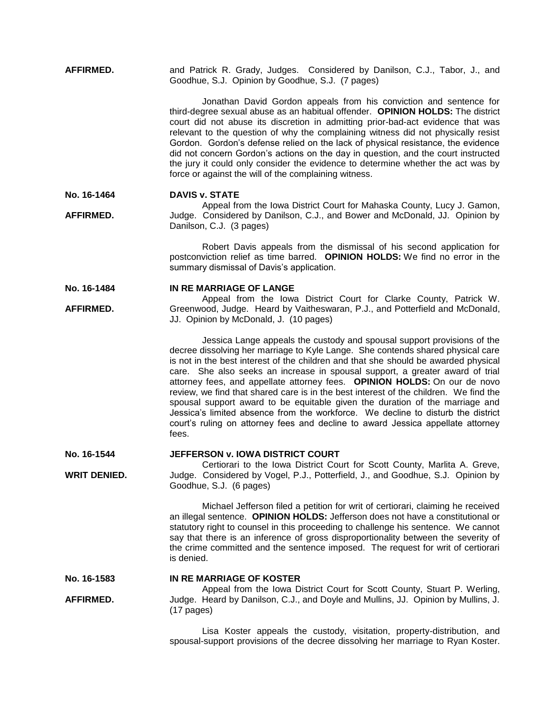**AFFIRMED.** and Patrick R. Grady, Judges. Considered by Danilson, C.J., Tabor, J., and Goodhue, S.J. Opinion by Goodhue, S.J. (7 pages)

> Jonathan David Gordon appeals from his conviction and sentence for third-degree sexual abuse as an habitual offender. **OPINION HOLDS:** The district court did not abuse its discretion in admitting prior-bad-act evidence that was relevant to the question of why the complaining witness did not physically resist Gordon. Gordon's defense relied on the lack of physical resistance, the evidence did not concern Gordon's actions on the day in question, and the court instructed the jury it could only consider the evidence to determine whether the act was by force or against the will of the complaining witness.

**No. 16-1464 DAVIS v. STATE**

**AFFIRMED.** Appeal from the Iowa District Court for Mahaska County, Lucy J. Gamon, Judge. Considered by Danilson, C.J., and Bower and McDonald, JJ. Opinion by Danilson, C.J. (3 pages)

> Robert Davis appeals from the dismissal of his second application for postconviction relief as time barred. **OPINION HOLDS:** We find no error in the summary dismissal of Davis's application.

**No. 16-1484 IN RE MARRIAGE OF LANGE**

**AFFIRMED.** Appeal from the Iowa District Court for Clarke County, Patrick W. Greenwood, Judge. Heard by Vaitheswaran, P.J., and Potterfield and McDonald, JJ. Opinion by McDonald, J. (10 pages)

> Jessica Lange appeals the custody and spousal support provisions of the decree dissolving her marriage to Kyle Lange. She contends shared physical care is not in the best interest of the children and that she should be awarded physical care. She also seeks an increase in spousal support, a greater award of trial attorney fees, and appellate attorney fees. **OPINION HOLDS:** On our de novo review, we find that shared care is in the best interest of the children. We find the spousal support award to be equitable given the duration of the marriage and Jessica's limited absence from the workforce. We decline to disturb the district court's ruling on attorney fees and decline to award Jessica appellate attorney fees.

**No. 16-1544 JEFFERSON v. IOWA DISTRICT COURT**

**WRIT DENIED.** Certiorari to the Iowa District Court for Scott County, Marlita A. Greve, Judge. Considered by Vogel, P.J., Potterfield, J., and Goodhue, S.J. Opinion by Goodhue, S.J. (6 pages)

> Michael Jefferson filed a petition for writ of certiorari, claiming he received an illegal sentence. **OPINION HOLDS:** Jefferson does not have a constitutional or statutory right to counsel in this proceeding to challenge his sentence. We cannot say that there is an inference of gross disproportionality between the severity of the crime committed and the sentence imposed. The request for writ of certiorari is denied.

#### **No. 16-1583 IN RE MARRIAGE OF KOSTER**

**AFFIRMED.** Appeal from the Iowa District Court for Scott County, Stuart P. Werling, Judge. Heard by Danilson, C.J., and Doyle and Mullins, JJ. Opinion by Mullins, J. (17 pages)

> Lisa Koster appeals the custody, visitation, property-distribution, and spousal-support provisions of the decree dissolving her marriage to Ryan Koster.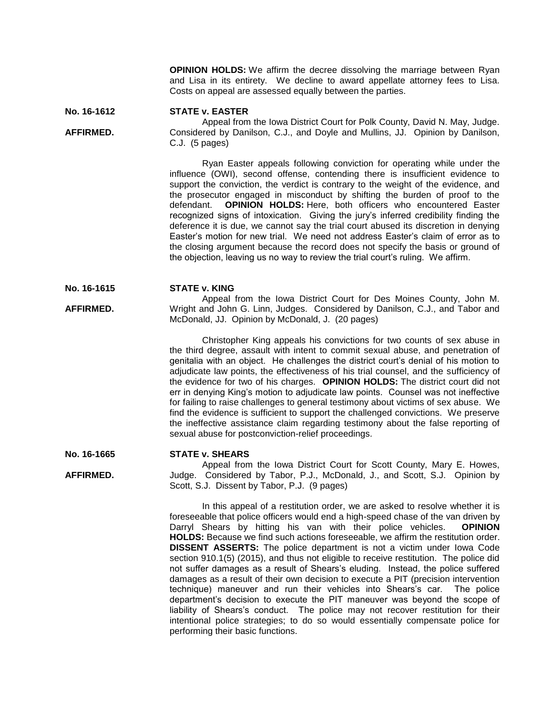**OPINION HOLDS:** We affirm the decree dissolving the marriage between Ryan and Lisa in its entirety. We decline to award appellate attorney fees to Lisa. Costs on appeal are assessed equally between the parties.

#### **No. 16-1612 STATE v. EASTER**

**AFFIRMED.**

Appeal from the Iowa District Court for Polk County, David N. May, Judge. Considered by Danilson, C.J., and Doyle and Mullins, JJ. Opinion by Danilson, C.J. (5 pages)

Ryan Easter appeals following conviction for operating while under the influence (OWI), second offense, contending there is insufficient evidence to support the conviction, the verdict is contrary to the weight of the evidence, and the prosecutor engaged in misconduct by shifting the burden of proof to the defendant. **OPINION HOLDS:** Here, both officers who encountered Easter recognized signs of intoxication. Giving the jury's inferred credibility finding the deference it is due, we cannot say the trial court abused its discretion in denying Easter's motion for new trial. We need not address Easter's claim of error as to the closing argument because the record does not specify the basis or ground of the objection, leaving us no way to review the trial court's ruling. We affirm.

#### **No. 16-1615 STATE v. KING**

**AFFIRMED.** Appeal from the Iowa District Court for Des Moines County, John M. Wright and John G. Linn, Judges. Considered by Danilson, C.J., and Tabor and McDonald, JJ. Opinion by McDonald, J. (20 pages)

> Christopher King appeals his convictions for two counts of sex abuse in the third degree, assault with intent to commit sexual abuse, and penetration of genitalia with an object. He challenges the district court's denial of his motion to adjudicate law points, the effectiveness of his trial counsel, and the sufficiency of the evidence for two of his charges. **OPINION HOLDS:** The district court did not err in denying King's motion to adjudicate law points. Counsel was not ineffective for failing to raise challenges to general testimony about victims of sex abuse. We find the evidence is sufficient to support the challenged convictions. We preserve the ineffective assistance claim regarding testimony about the false reporting of sexual abuse for postconviction-relief proceedings.

#### **No. 16-1665 STATE v. SHEARS**

**AFFIRMED.** Appeal from the Iowa District Court for Scott County, Mary E. Howes, Judge. Considered by Tabor, P.J., McDonald, J., and Scott, S.J. Opinion by Scott, S.J. Dissent by Tabor, P.J. (9 pages)

> In this appeal of a restitution order, we are asked to resolve whether it is foreseeable that police officers would end a high-speed chase of the van driven by Darryl Shears by hitting his van with their police vehicles. **OPINION HOLDS:** Because we find such actions foreseeable, we affirm the restitution order. **DISSENT ASSERTS:** The police department is not a victim under Iowa Code section 910.1(5) (2015), and thus not eligible to receive restitution. The police did not suffer damages as a result of Shears's eluding. Instead, the police suffered damages as a result of their own decision to execute a PIT (precision intervention technique) maneuver and run their vehicles into Shears's car. The police department's decision to execute the PIT maneuver was beyond the scope of liability of Shears's conduct. The police may not recover restitution for their intentional police strategies; to do so would essentially compensate police for performing their basic functions.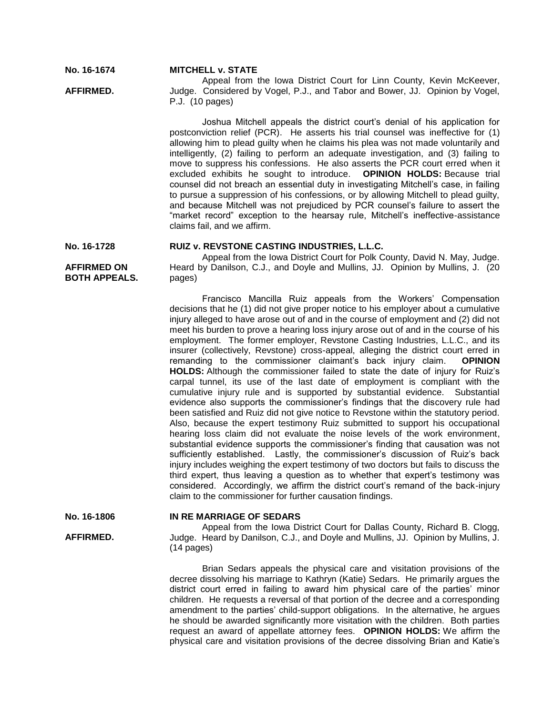Appeal from the Iowa District Court for Linn County, Kevin McKeever, Judge. Considered by Vogel, P.J., and Tabor and Bower, JJ. Opinion by Vogel, P.J. (10 pages)

Joshua Mitchell appeals the district court's denial of his application for postconviction relief (PCR). He asserts his trial counsel was ineffective for (1) allowing him to plead guilty when he claims his plea was not made voluntarily and intelligently, (2) failing to perform an adequate investigation, and (3) failing to move to suppress his confessions. He also asserts the PCR court erred when it excluded exhibits he sought to introduce. **OPINION HOLDS:** Because trial counsel did not breach an essential duty in investigating Mitchell's case, in failing to pursue a suppression of his confessions, or by allowing Mitchell to plead guilty, and because Mitchell was not prejudiced by PCR counsel's failure to assert the "market record" exception to the hearsay rule, Mitchell's ineffective-assistance claims fail, and we affirm.

**No. 16-1728**

**AFFIRMED.**

**AFFIRMED ON BOTH APPEALS.** **RUIZ v. REVSTONE CASTING INDUSTRIES, L.L.C.** Appeal from the Iowa District Court for Polk County, David N. May, Judge. Heard by Danilson, C.J., and Doyle and Mullins, JJ. Opinion by Mullins, J. (20 pages)

Francisco Mancilla Ruiz appeals from the Workers' Compensation decisions that he (1) did not give proper notice to his employer about a cumulative injury alleged to have arose out of and in the course of employment and (2) did not meet his burden to prove a hearing loss injury arose out of and in the course of his employment. The former employer, Revstone Casting Industries, L.L.C., and its insurer (collectively, Revstone) cross-appeal, alleging the district court erred in remanding to the commissioner claimant's back injury claim. **OPINION HOLDS:** Although the commissioner failed to state the date of injury for Ruiz's carpal tunnel, its use of the last date of employment is compliant with the cumulative injury rule and is supported by substantial evidence. Substantial evidence also supports the commissioner's findings that the discovery rule had been satisfied and Ruiz did not give notice to Revstone within the statutory period. Also, because the expert testimony Ruiz submitted to support his occupational hearing loss claim did not evaluate the noise levels of the work environment, substantial evidence supports the commissioner's finding that causation was not sufficiently established. Lastly, the commissioner's discussion of Ruiz's back injury includes weighing the expert testimony of two doctors but fails to discuss the third expert, thus leaving a question as to whether that expert's testimony was considered. Accordingly, we affirm the district court's remand of the back-injury claim to the commissioner for further causation findings.

**No. 16-1806**

**AFFIRMED.**

**IN RE MARRIAGE OF SEDARS** Appeal from the Iowa District Court for Dallas County, Richard B. Clogg, Judge. Heard by Danilson, C.J., and Doyle and Mullins, JJ. Opinion by Mullins, J. (14 pages)

Brian Sedars appeals the physical care and visitation provisions of the decree dissolving his marriage to Kathryn (Katie) Sedars. He primarily argues the district court erred in failing to award him physical care of the parties' minor children. He requests a reversal of that portion of the decree and a corresponding amendment to the parties' child-support obligations. In the alternative, he argues he should be awarded significantly more visitation with the children. Both parties request an award of appellate attorney fees. **OPINION HOLDS:** We affirm the physical care and visitation provisions of the decree dissolving Brian and Katie's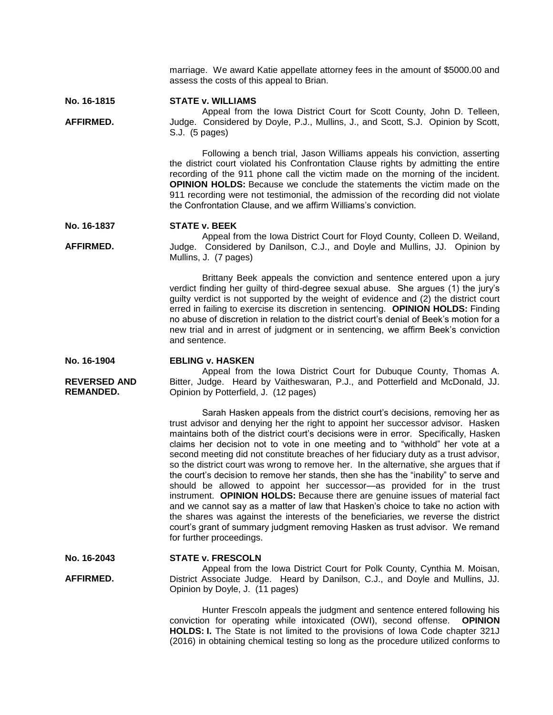marriage. We award Katie appellate attorney fees in the amount of \$5000.00 and assess the costs of this appeal to Brian.

#### **No. 16-1815 STATE v. WILLIAMS**

**AFFIRMED.**

Appeal from the Iowa District Court for Scott County, John D. Telleen, Judge. Considered by Doyle, P.J., Mullins, J., and Scott, S.J. Opinion by Scott, S.J. (5 pages)

> Following a bench trial, Jason Williams appeals his conviction, asserting the district court violated his Confrontation Clause rights by admitting the entire recording of the 911 phone call the victim made on the morning of the incident. **OPINION HOLDS:** Because we conclude the statements the victim made on the 911 recording were not testimonial, the admission of the recording did not violate the Confrontation Clause, and we affirm Williams's conviction.

#### **No. 16-1837 STATE v. BEEK**

**AFFIRMED.** Appeal from the Iowa District Court for Floyd County, Colleen D. Weiland, Judge. Considered by Danilson, C.J., and Doyle and Mullins, JJ. Opinion by Mullins, J. (7 pages)

> Brittany Beek appeals the conviction and sentence entered upon a jury verdict finding her guilty of third-degree sexual abuse. She argues (1) the jury's guilty verdict is not supported by the weight of evidence and (2) the district court erred in failing to exercise its discretion in sentencing. **OPINION HOLDS:** Finding no abuse of discretion in relation to the district court's denial of Beek's motion for a new trial and in arrest of judgment or in sentencing, we affirm Beek's conviction and sentence.

#### **No. 16-1904 EBLING v. HASKEN**

Appeal from the Iowa District Court for Dubuque County, Thomas A. Bitter, Judge. Heard by Vaitheswaran, P.J., and Potterfield and McDonald, JJ. Opinion by Potterfield, J. (12 pages)

Sarah Hasken appeals from the district court's decisions, removing her as trust advisor and denying her the right to appoint her successor advisor. Hasken maintains both of the district court's decisions were in error. Specifically, Hasken claims her decision not to vote in one meeting and to "withhold" her vote at a second meeting did not constitute breaches of her fiduciary duty as a trust advisor, so the district court was wrong to remove her. In the alternative, she argues that if the court's decision to remove her stands, then she has the "inability" to serve and should be allowed to appoint her successor—as provided for in the trust instrument. **OPINION HOLDS:** Because there are genuine issues of material fact and we cannot say as a matter of law that Hasken's choice to take no action with the shares was against the interests of the beneficiaries, we reverse the district court's grant of summary judgment removing Hasken as trust advisor. We remand for further proceedings.

#### **No. 16-2043 STATE v. FRESCOLN**

Appeal from the Iowa District Court for Polk County, Cynthia M. Moisan, District Associate Judge. Heard by Danilson, C.J., and Doyle and Mullins, JJ. Opinion by Doyle, J. (11 pages)

Hunter Frescoln appeals the judgment and sentence entered following his conviction for operating while intoxicated (OWI), second offense. **OPINION HOLDS: I.** The State is not limited to the provisions of Iowa Code chapter 321J (2016) in obtaining chemical testing so long as the procedure utilized conforms to

**REVERSED AND REMANDED.**

**AFFIRMED.**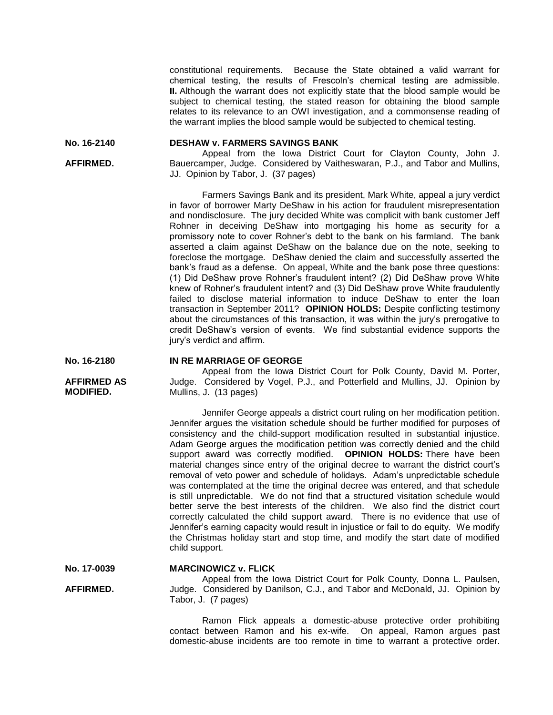constitutional requirements. Because the State obtained a valid warrant for chemical testing, the results of Frescoln's chemical testing are admissible. **II.** Although the warrant does not explicitly state that the blood sample would be subject to chemical testing, the stated reason for obtaining the blood sample relates to its relevance to an OWI investigation, and a commonsense reading of the warrant implies the blood sample would be subjected to chemical testing.

**No. 16-2140 DESHAW v. FARMERS SAVINGS BANK**

> Appeal from the Iowa District Court for Clayton County, John J. Bauercamper, Judge. Considered by Vaitheswaran, P.J., and Tabor and Mullins, JJ. Opinion by Tabor, J. (37 pages)

Farmers Savings Bank and its president, Mark White, appeal a jury verdict in favor of borrower Marty DeShaw in his action for fraudulent misrepresentation and nondisclosure. The jury decided White was complicit with bank customer Jeff Rohner in deceiving DeShaw into mortgaging his home as security for a promissory note to cover Rohner's debt to the bank on his farmland. The bank asserted a claim against DeShaw on the balance due on the note, seeking to foreclose the mortgage. DeShaw denied the claim and successfully asserted the bank's fraud as a defense. On appeal, White and the bank pose three questions: (1) Did DeShaw prove Rohner's fraudulent intent? (2) Did DeShaw prove White knew of Rohner's fraudulent intent? and (3) Did DeShaw prove White fraudulently failed to disclose material information to induce DeShaw to enter the loan transaction in September 2011? **OPINION HOLDS:** Despite conflicting testimony about the circumstances of this transaction, it was within the jury's prerogative to credit DeShaw's version of events. We find substantial evidence supports the jury's verdict and affirm.

#### **No. 16-2180 IN RE MARRIAGE OF GEORGE**

Appeal from the Iowa District Court for Polk County, David M. Porter, Judge. Considered by Vogel, P.J., and Potterfield and Mullins, JJ. Opinion by Mullins, J. (13 pages)

Jennifer George appeals a district court ruling on her modification petition. Jennifer argues the visitation schedule should be further modified for purposes of consistency and the child-support modification resulted in substantial injustice. Adam George argues the modification petition was correctly denied and the child support award was correctly modified. **OPINION HOLDS:** There have been material changes since entry of the original decree to warrant the district court's removal of veto power and schedule of holidays. Adam's unpredictable schedule was contemplated at the time the original decree was entered, and that schedule is still unpredictable. We do not find that a structured visitation schedule would better serve the best interests of the children. We also find the district court correctly calculated the child support award. There is no evidence that use of Jennifer's earning capacity would result in injustice or fail to do equity. We modify the Christmas holiday start and stop time, and modify the start date of modified child support.

| No. 17-0039 | <b>MARCINOWICZ v. FLICK</b> |
|-------------|-----------------------------|
|-------------|-----------------------------|

**AFFIRMED.** Appeal from the Iowa District Court for Polk County, Donna L. Paulsen, Judge. Considered by Danilson, C.J., and Tabor and McDonald, JJ. Opinion by Tabor, J. (7 pages)

> Ramon Flick appeals a domestic-abuse protective order prohibiting contact between Ramon and his ex-wife. On appeal, Ramon argues past domestic-abuse incidents are too remote in time to warrant a protective order.

**AFFIRMED.**

**AFFIRMED AS MODIFIED.**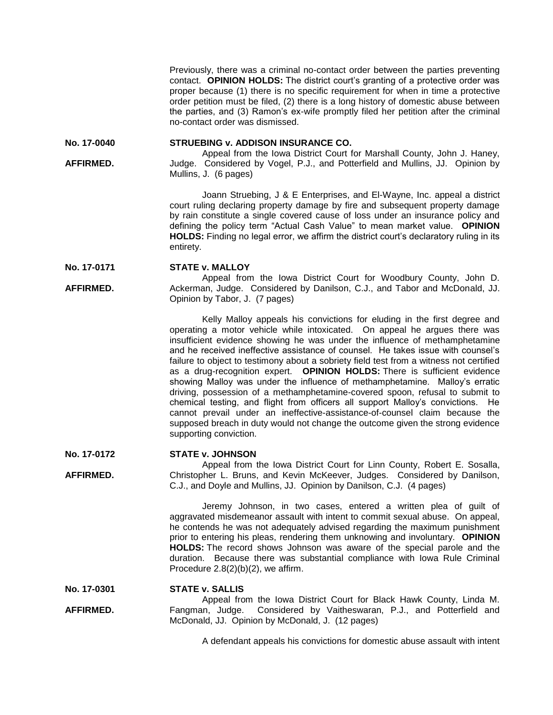Previously, there was a criminal no-contact order between the parties preventing contact. **OPINION HOLDS:** The district court's granting of a protective order was proper because (1) there is no specific requirement for when in time a protective order petition must be filed, (2) there is a long history of domestic abuse between the parties, and (3) Ramon's ex-wife promptly filed her petition after the criminal no-contact order was dismissed.

**No. 17-0040 STRUEBING v. ADDISON INSURANCE CO.**

**AFFIRMED.** Appeal from the Iowa District Court for Marshall County, John J. Haney, Judge. Considered by Vogel, P.J., and Potterfield and Mullins, JJ. Opinion by Mullins, J. (6 pages)

> Joann Struebing, J & E Enterprises, and El-Wayne, Inc. appeal a district court ruling declaring property damage by fire and subsequent property damage by rain constitute a single covered cause of loss under an insurance policy and defining the policy term "Actual Cash Value" to mean market value. **OPINION HOLDS:** Finding no legal error, we affirm the district court's declaratory ruling in its entirety.

**No. 17-0171 STATE v. MALLOY**

**AFFIRMED.** Appeal from the Iowa District Court for Woodbury County, John D. Ackerman, Judge. Considered by Danilson, C.J., and Tabor and McDonald, JJ. Opinion by Tabor, J. (7 pages)

> Kelly Malloy appeals his convictions for eluding in the first degree and operating a motor vehicle while intoxicated. On appeal he argues there was insufficient evidence showing he was under the influence of methamphetamine and he received ineffective assistance of counsel. He takes issue with counsel's failure to object to testimony about a sobriety field test from a witness not certified as a drug-recognition expert. **OPINION HOLDS:** There is sufficient evidence showing Malloy was under the influence of methamphetamine. Malloy's erratic driving, possession of a methamphetamine-covered spoon, refusal to submit to chemical testing, and flight from officers all support Malloy's convictions. He cannot prevail under an ineffective-assistance-of-counsel claim because the supposed breach in duty would not change the outcome given the strong evidence supporting conviction.

#### **No. 17-0172 STATE v. JOHNSON**

**AFFIRMED.** Appeal from the Iowa District Court for Linn County, Robert E. Sosalla, Christopher L. Bruns, and Kevin McKeever, Judges. Considered by Danilson, C.J., and Doyle and Mullins, JJ. Opinion by Danilson, C.J. (4 pages)

> Jeremy Johnson, in two cases, entered a written plea of guilt of aggravated misdemeanor assault with intent to commit sexual abuse. On appeal, he contends he was not adequately advised regarding the maximum punishment prior to entering his pleas, rendering them unknowing and involuntary. **OPINION HOLDS:** The record shows Johnson was aware of the special parole and the duration. Because there was substantial compliance with Iowa Rule Criminal Procedure 2.8(2)(b)(2), we affirm.

**No. 17-0301 STATE v. SALLIS**

**AFFIRMED.** Appeal from the Iowa District Court for Black Hawk County, Linda M. Fangman, Judge. Considered by Vaitheswaran, P.J., and Potterfield and McDonald, JJ. Opinion by McDonald, J. (12 pages)

A defendant appeals his convictions for domestic abuse assault with intent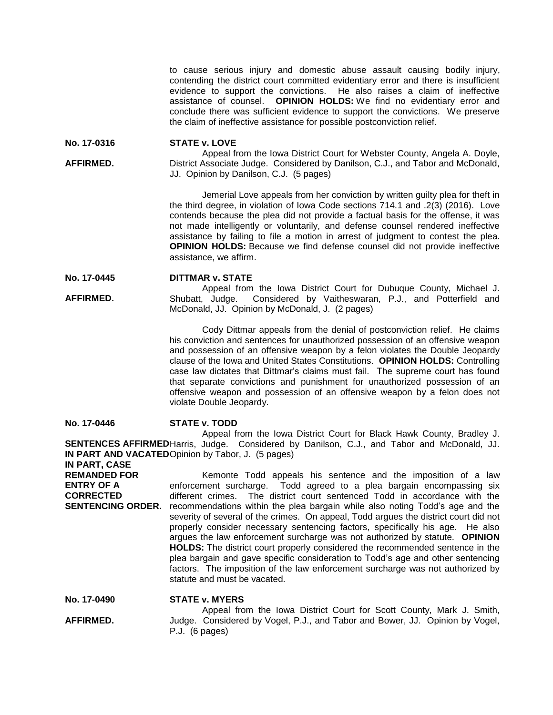to cause serious injury and domestic abuse assault causing bodily injury, contending the district court committed evidentiary error and there is insufficient evidence to support the convictions. He also raises a claim of ineffective assistance of counsel. **OPINION HOLDS:** We find no evidentiary error and conclude there was sufficient evidence to support the convictions. We preserve the claim of ineffective assistance for possible postconviction relief.

**No. 17-0316 STATE v. LOVE**

**AFFIRMED.** Appeal from the Iowa District Court for Webster County, Angela A. Doyle, District Associate Judge. Considered by Danilson, C.J., and Tabor and McDonald, JJ. Opinion by Danilson, C.J. (5 pages)

> Jemerial Love appeals from her conviction by written guilty plea for theft in the third degree, in violation of Iowa Code sections 714.1 and .2(3) (2016). Love contends because the plea did not provide a factual basis for the offense, it was not made intelligently or voluntarily, and defense counsel rendered ineffective assistance by failing to file a motion in arrest of judgment to contest the plea. **OPINION HOLDS:** Because we find defense counsel did not provide ineffective assistance, we affirm.

**No. 17-0445 DITTMAR v. STATE**

**AFFIRMED.** Appeal from the Iowa District Court for Dubuque County, Michael J. Shubatt, Judge. Considered by Vaitheswaran, P.J., and Potterfield and McDonald, JJ. Opinion by McDonald, J. (2 pages)

> Cody Dittmar appeals from the denial of postconviction relief. He claims his conviction and sentences for unauthorized possession of an offensive weapon and possession of an offensive weapon by a felon violates the Double Jeopardy clause of the Iowa and United States Constitutions. **OPINION HOLDS:** Controlling case law dictates that Dittmar's claims must fail. The supreme court has found that separate convictions and punishment for unauthorized possession of an offensive weapon and possession of an offensive weapon by a felon does not violate Double Jeopardy.

**No. 17-0446 STATE v. TODD**

**SENTENCES AFFIRMED** Harris, Judge. Considered by Danilson, C.J., and Tabor and McDonald, JJ. **IN PART AND VACATED** Opinion by Tabor, J. (5 pages) **IN PART, CASE**  Appeal from the Iowa District Court for Black Hawk County, Bradley J.

**REMANDED FOR ENTRY OF A CORRECTED SENTENCING ORDER.** recommendations within the plea bargain while also noting Todd's age and the Kemonte Todd appeals his sentence and the imposition of a law enforcement surcharge. Todd agreed to a plea bargain encompassing six different crimes. The district court sentenced Todd in accordance with the severity of several of the crimes. On appeal, Todd argues the district court did not properly consider necessary sentencing factors, specifically his age. He also argues the law enforcement surcharge was not authorized by statute. **OPINION HOLDS:** The district court properly considered the recommended sentence in the plea bargain and gave specific consideration to Todd's age and other sentencing factors. The imposition of the law enforcement surcharge was not authorized by statute and must be vacated.

**No. 17-0490 STATE v. MYERS**

**AFFIRMED.** Appeal from the Iowa District Court for Scott County, Mark J. Smith, Judge. Considered by Vogel, P.J., and Tabor and Bower, JJ. Opinion by Vogel, P.J. (6 pages)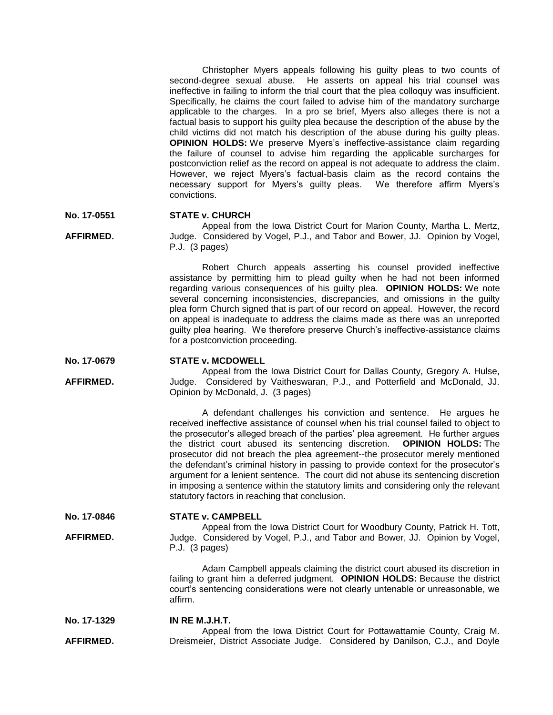Christopher Myers appeals following his guilty pleas to two counts of second-degree sexual abuse. He asserts on appeal his trial counsel was ineffective in failing to inform the trial court that the plea colloquy was insufficient. Specifically, he claims the court failed to advise him of the mandatory surcharge applicable to the charges. In a pro se brief, Myers also alleges there is not a factual basis to support his guilty plea because the description of the abuse by the child victims did not match his description of the abuse during his guilty pleas. **OPINION HOLDS:** We preserve Myers's ineffective-assistance claim regarding the failure of counsel to advise him regarding the applicable surcharges for postconviction relief as the record on appeal is not adequate to address the claim. However, we reject Myers's factual-basis claim as the record contains the necessary support for Myers's guilty pleas. We therefore affirm Myers's convictions.

#### **No. 17-0551 STATE v. CHURCH**

**AFFIRMED.** Appeal from the Iowa District Court for Marion County, Martha L. Mertz, Judge. Considered by Vogel, P.J., and Tabor and Bower, JJ. Opinion by Vogel, P.J. (3 pages)

> Robert Church appeals asserting his counsel provided ineffective assistance by permitting him to plead guilty when he had not been informed regarding various consequences of his guilty plea. **OPINION HOLDS:** We note several concerning inconsistencies, discrepancies, and omissions in the guilty plea form Church signed that is part of our record on appeal. However, the record on appeal is inadequate to address the claims made as there was an unreported guilty plea hearing. We therefore preserve Church's ineffective-assistance claims for a postconviction proceeding.

#### **No. 17-0679 STATE v. MCDOWELL**

**AFFIRMED.**

Appeal from the Iowa District Court for Dallas County, Gregory A. Hulse, Judge. Considered by Vaitheswaran, P.J., and Potterfield and McDonald, JJ. Opinion by McDonald, J. (3 pages)

A defendant challenges his conviction and sentence. He argues he received ineffective assistance of counsel when his trial counsel failed to object to the prosecutor's alleged breach of the parties' plea agreement. He further argues the district court abused its sentencing discretion. **OPINION HOLDS:** The prosecutor did not breach the plea agreement--the prosecutor merely mentioned the defendant's criminal history in passing to provide context for the prosecutor's argument for a lenient sentence. The court did not abuse its sentencing discretion in imposing a sentence within the statutory limits and considering only the relevant statutory factors in reaching that conclusion.

**No. 17-0846**

**AFFIRMED.**

**STATE v. CAMPBELL**

Appeal from the Iowa District Court for Woodbury County, Patrick H. Tott, Judge. Considered by Vogel, P.J., and Tabor and Bower, JJ. Opinion by Vogel, P.J. (3 pages)

> Adam Campbell appeals claiming the district court abused its discretion in failing to grant him a deferred judgment. **OPINION HOLDS:** Because the district court's sentencing considerations were not clearly untenable or unreasonable, we affirm.

**No. 17-1329 AFFIRMED. IN RE M.J.H.T.** Appeal from the Iowa District Court for Pottawattamie County, Craig M. Dreismeier, District Associate Judge. Considered by Danilson, C.J., and Doyle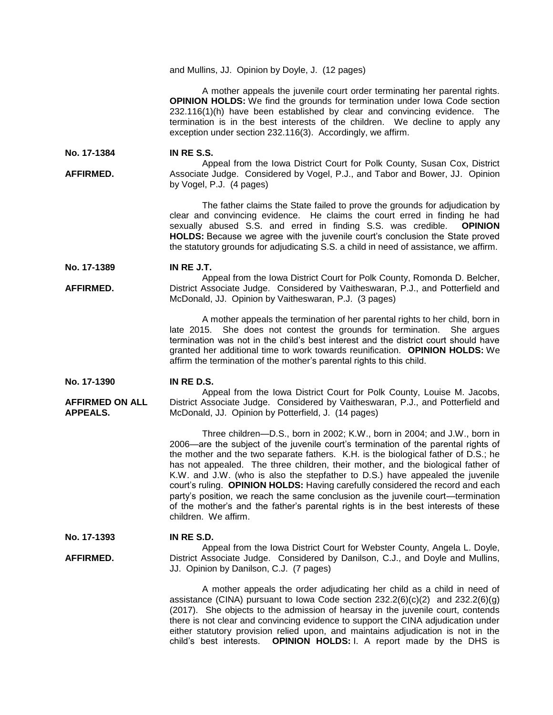and Mullins, JJ. Opinion by Doyle, J. (12 pages)

A mother appeals the juvenile court order terminating her parental rights. **OPINION HOLDS:** We find the grounds for termination under Iowa Code section 232.116(1)(h) have been established by clear and convincing evidence. The termination is in the best interests of the children. We decline to apply any exception under section 232.116(3). Accordingly, we affirm.

**No. 17-1384 IN RE S.S.**

**AFFIRMED.** Appeal from the Iowa District Court for Polk County, Susan Cox, District Associate Judge. Considered by Vogel, P.J., and Tabor and Bower, JJ. Opinion by Vogel, P.J. (4 pages)

> The father claims the State failed to prove the grounds for adjudication by clear and convincing evidence. He claims the court erred in finding he had sexually abused S.S. and erred in finding S.S. was credible. **OPINION HOLDS:** Because we agree with the juvenile court's conclusion the State proved the statutory grounds for adjudicating S.S. a child in need of assistance, we affirm.

**No. 17-1389 IN RE J.T.**

**AFFIRMED.** Appeal from the Iowa District Court for Polk County, Romonda D. Belcher, District Associate Judge. Considered by Vaitheswaran, P.J., and Potterfield and McDonald, JJ. Opinion by Vaitheswaran, P.J. (3 pages)

> A mother appeals the termination of her parental rights to her child, born in late 2015. She does not contest the grounds for termination. She argues termination was not in the child's best interest and the district court should have granted her additional time to work towards reunification. **OPINION HOLDS:** We affirm the termination of the mother's parental rights to this child.

**No. 17-1390 IN RE D.S.**

**AFFIRMED ON ALL APPEALS.** Appeal from the Iowa District Court for Polk County, Louise M. Jacobs, District Associate Judge. Considered by Vaitheswaran, P.J., and Potterfield and McDonald, JJ. Opinion by Potterfield, J. (14 pages)

> Three children—D.S., born in 2002; K.W., born in 2004; and J.W., born in 2006—are the subject of the juvenile court's termination of the parental rights of the mother and the two separate fathers. K.H. is the biological father of D.S.; he has not appealed. The three children, their mother, and the biological father of K.W. and J.W. (who is also the stepfather to D.S.) have appealed the juvenile court's ruling. **OPINION HOLDS:** Having carefully considered the record and each party's position, we reach the same conclusion as the juvenile court—termination of the mother's and the father's parental rights is in the best interests of these children.We affirm.

**No. 17-1393 IN RE S.D.**

**AFFIRMED.** Appeal from the Iowa District Court for Webster County, Angela L. Doyle, District Associate Judge. Considered by Danilson, C.J., and Doyle and Mullins, JJ. Opinion by Danilson, C.J. (7 pages)

> A mother appeals the order adjudicating her child as a child in need of assistance (CINA) pursuant to Iowa Code section  $232.2(6)(c)(2)$  and  $232.2(6)(g)$ (2017). She objects to the admission of hearsay in the juvenile court, contends there is not clear and convincing evidence to support the CINA adjudication under either statutory provision relied upon, and maintains adjudication is not in the child's best interests. **OPINION HOLDS:** I. A report made by the DHS is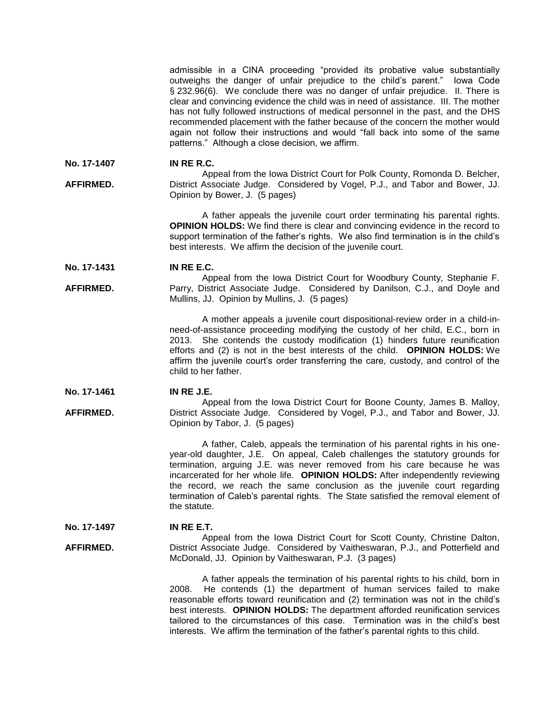admissible in a CINA proceeding "provided its probative value substantially outweighs the danger of unfair prejudice to the child's parent." Iowa Code § 232.96(6). We conclude there was no danger of unfair prejudice. II. There is clear and convincing evidence the child was in need of assistance. III. The mother has not fully followed instructions of medical personnel in the past, and the DHS recommended placement with the father because of the concern the mother would again not follow their instructions and would "fall back into some of the same patterns." Although a close decision, we affirm.

**No. 17-1407 IN RE R.C.**

**AFFIRMED.** Appeal from the Iowa District Court for Polk County, Romonda D. Belcher, District Associate Judge. Considered by Vogel, P.J., and Tabor and Bower, JJ. Opinion by Bower, J. (5 pages)

> A father appeals the juvenile court order terminating his parental rights. **OPINION HOLDS:** We find there is clear and convincing evidence in the record to support termination of the father's rights. We also find termination is in the child's best interests. We affirm the decision of the juvenile court.

**No. 17-1431 IN RE E.C.**

### **AFFIRMED.** Appeal from the Iowa District Court for Woodbury County, Stephanie F. Parry, District Associate Judge. Considered by Danilson, C.J., and Doyle and Mullins, JJ. Opinion by Mullins, J. (5 pages)

A mother appeals a juvenile court dispositional-review order in a child-inneed-of-assistance proceeding modifying the custody of her child, E.C., born in 2013. She contends the custody modification (1) hinders future reunification efforts and (2) is not in the best interests of the child. **OPINION HOLDS:** We affirm the juvenile court's order transferring the care, custody, and control of the child to her father.

**No. 17-1461 IN RE J.E.**

**AFFIRMED.** Appeal from the Iowa District Court for Boone County, James B. Malloy, District Associate Judge. Considered by Vogel, P.J., and Tabor and Bower, JJ. Opinion by Tabor, J. (5 pages)

> A father, Caleb, appeals the termination of his parental rights in his oneyear-old daughter, J.E. On appeal, Caleb challenges the statutory grounds for termination, arguing J.E. was never removed from his care because he was incarcerated for her whole life. **OPINION HOLDS:** After independently reviewing the record, we reach the same conclusion as the juvenile court regarding termination of Caleb's parental rights. The State satisfied the removal element of the statute.

**No. 17-1497 IN RE E.T.**

**AFFIRMED.** Appeal from the Iowa District Court for Scott County, Christine Dalton, District Associate Judge. Considered by Vaitheswaran, P.J., and Potterfield and McDonald, JJ. Opinion by Vaitheswaran, P.J. (3 pages)

> A father appeals the termination of his parental rights to his child, born in 2008. He contends (1) the department of human services failed to make reasonable efforts toward reunification and (2) termination was not in the child's best interests. **OPINION HOLDS:** The department afforded reunification services tailored to the circumstances of this case. Termination was in the child's best interests. We affirm the termination of the father's parental rights to this child.